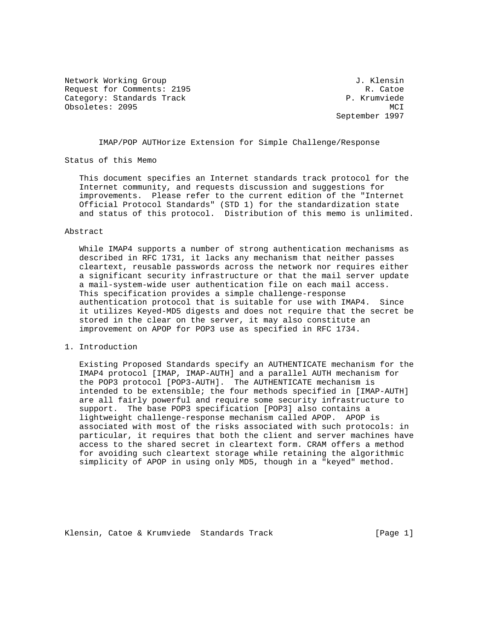Network Working Group 3. The Second Methods of Methods of American Control of American Control of American Control of American Control of American Control of American Control of American Control of American Control of Amer Request for Comments: 2195 R. Catoe Category: Standards Track P. Krumviede Obsoletes: 2095 MCI

September 1997

IMAP/POP AUTHorize Extension for Simple Challenge/Response

Status of this Memo

 This document specifies an Internet standards track protocol for the Internet community, and requests discussion and suggestions for improvements. Please refer to the current edition of the "Internet Official Protocol Standards" (STD 1) for the standardization state and status of this protocol. Distribution of this memo is unlimited.

## Abstract

 While IMAP4 supports a number of strong authentication mechanisms as described in RFC 1731, it lacks any mechanism that neither passes cleartext, reusable passwords across the network nor requires either a significant security infrastructure or that the mail server update a mail-system-wide user authentication file on each mail access. This specification provides a simple challenge-response authentication protocol that is suitable for use with IMAP4. Since it utilizes Keyed-MD5 digests and does not require that the secret be stored in the clear on the server, it may also constitute an improvement on APOP for POP3 use as specified in RFC 1734.

## 1. Introduction

 Existing Proposed Standards specify an AUTHENTICATE mechanism for the IMAP4 protocol [IMAP, IMAP-AUTH] and a parallel AUTH mechanism for the POP3 protocol [POP3-AUTH]. The AUTHENTICATE mechanism is intended to be extensible; the four methods specified in [IMAP-AUTH] are all fairly powerful and require some security infrastructure to support. The base POP3 specification [POP3] also contains a lightweight challenge-response mechanism called APOP. APOP is associated with most of the risks associated with such protocols: in particular, it requires that both the client and server machines have access to the shared secret in cleartext form. CRAM offers a method for avoiding such cleartext storage while retaining the algorithmic simplicity of APOP in using only MD5, though in a "keyed" method.

Klensin, Catoe & Krumviede Standards Track [Page 1]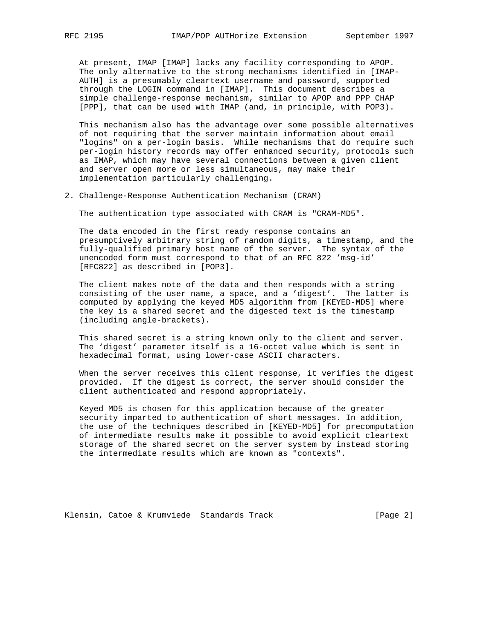At present, IMAP [IMAP] lacks any facility corresponding to APOP. The only alternative to the strong mechanisms identified in [IMAP- AUTH] is a presumably cleartext username and password, supported through the LOGIN command in [IMAP]. This document describes a simple challenge-response mechanism, similar to APOP and PPP CHAP [PPP], that can be used with IMAP (and, in principle, with POP3).

 This mechanism also has the advantage over some possible alternatives of not requiring that the server maintain information about email "logins" on a per-login basis. While mechanisms that do require such per-login history records may offer enhanced security, protocols such as IMAP, which may have several connections between a given client and server open more or less simultaneous, may make their implementation particularly challenging.

2. Challenge-Response Authentication Mechanism (CRAM)

The authentication type associated with CRAM is "CRAM-MD5".

 The data encoded in the first ready response contains an presumptively arbitrary string of random digits, a timestamp, and the fully-qualified primary host name of the server. The syntax of the unencoded form must correspond to that of an RFC 822 'msg-id' [RFC822] as described in [POP3].

 The client makes note of the data and then responds with a string consisting of the user name, a space, and a 'digest'. The latter is computed by applying the keyed MD5 algorithm from [KEYED-MD5] where the key is a shared secret and the digested text is the timestamp (including angle-brackets).

 This shared secret is a string known only to the client and server. The 'digest' parameter itself is a 16-octet value which is sent in hexadecimal format, using lower-case ASCII characters.

 When the server receives this client response, it verifies the digest provided. If the digest is correct, the server should consider the client authenticated and respond appropriately.

 Keyed MD5 is chosen for this application because of the greater security imparted to authentication of short messages. In addition, the use of the techniques described in [KEYED-MD5] for precomputation of intermediate results make it possible to avoid explicit cleartext storage of the shared secret on the server system by instead storing the intermediate results which are known as "contexts".

Klensin, Catoe & Krumviede Standards Track [Page 2]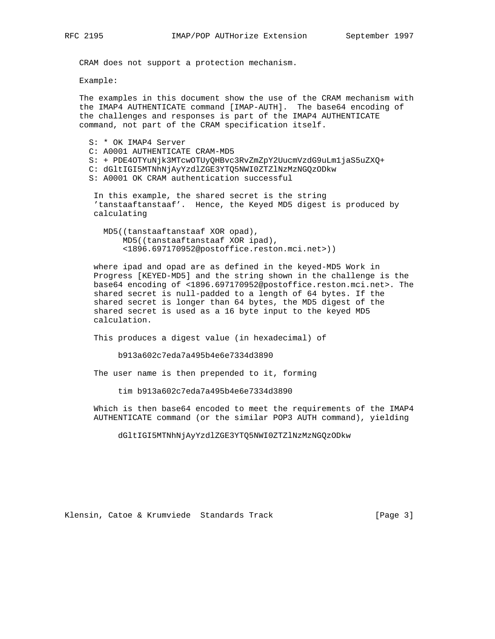CRAM does not support a protection mechanism.

Example:

 The examples in this document show the use of the CRAM mechanism with the IMAP4 AUTHENTICATE command [IMAP-AUTH]. The base64 encoding of the challenges and responses is part of the IMAP4 AUTHENTICATE command, not part of the CRAM specification itself.

 S: \* OK IMAP4 Server C: A0001 AUTHENTICATE CRAM-MD5 S: + PDE4OTYuNjk3MTcwOTUyQHBvc3RvZmZpY2UucmVzdG9uLm1jaS5uZXQ+ C: dGltIGI5MTNhNjAyYzdlZGE3YTQ5NWI0ZTZlNzMzNGQzODkw S: A0001 OK CRAM authentication successful

 In this example, the shared secret is the string 'tanstaaftanstaaf'. Hence, the Keyed MD5 digest is produced by calculating

 MD5((tanstaaftanstaaf XOR opad), MD5((tanstaaftanstaaf XOR ipad), <1896.697170952@postoffice.reston.mci.net>))

 where ipad and opad are as defined in the keyed-MD5 Work in Progress [KEYED-MD5] and the string shown in the challenge is the base64 encoding of <1896.697170952@postoffice.reston.mci.net>. The shared secret is null-padded to a length of 64 bytes. If the shared secret is longer than 64 bytes, the MD5 digest of the shared secret is used as a 16 byte input to the keyed MD5 calculation.

This produces a digest value (in hexadecimal) of

b913a602c7eda7a495b4e6e7334d3890

The user name is then prepended to it, forming

tim b913a602c7eda7a495b4e6e7334d3890

 Which is then base64 encoded to meet the requirements of the IMAP4 AUTHENTICATE command (or the similar POP3 AUTH command), yielding

dGltIGI5MTNhNjAyYzdlZGE3YTQ5NWI0ZTZlNzMzNGQzODkw

Klensin, Catoe & Krumviede Standards Track [Page 3]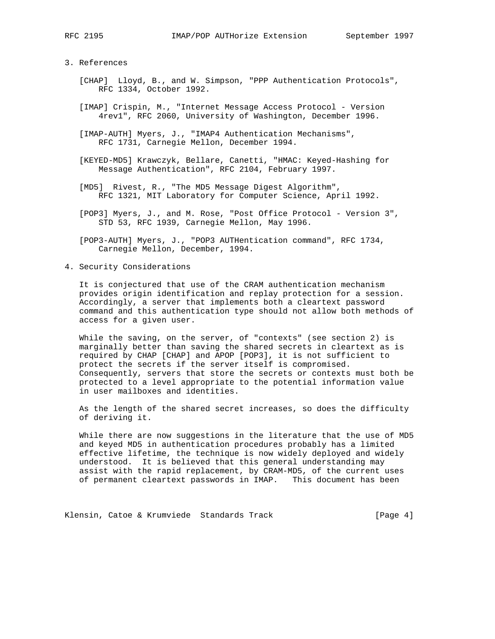## 3. References

- [CHAP] Lloyd, B., and W. Simpson, "PPP Authentication Protocols", RFC 1334, October 1992.
- [IMAP] Crispin, M., "Internet Message Access Protocol Version 4rev1", RFC 2060, University of Washington, December 1996.
- [IMAP-AUTH] Myers, J., "IMAP4 Authentication Mechanisms", RFC 1731, Carnegie Mellon, December 1994.
- [KEYED-MD5] Krawczyk, Bellare, Canetti, "HMAC: Keyed-Hashing for Message Authentication", RFC 2104, February 1997.
- [MD5] Rivest, R., "The MD5 Message Digest Algorithm", RFC 1321, MIT Laboratory for Computer Science, April 1992.
- [POP3] Myers, J., and M. Rose, "Post Office Protocol Version 3", STD 53, RFC 1939, Carnegie Mellon, May 1996.
- [POP3-AUTH] Myers, J., "POP3 AUTHentication command", RFC 1734, Carnegie Mellon, December, 1994.
- 4. Security Considerations

 It is conjectured that use of the CRAM authentication mechanism provides origin identification and replay protection for a session. Accordingly, a server that implements both a cleartext password command and this authentication type should not allow both methods of access for a given user.

 While the saving, on the server, of "contexts" (see section 2) is marginally better than saving the shared secrets in cleartext as is required by CHAP [CHAP] and APOP [POP3], it is not sufficient to protect the secrets if the server itself is compromised. Consequently, servers that store the secrets or contexts must both be protected to a level appropriate to the potential information value in user mailboxes and identities.

 As the length of the shared secret increases, so does the difficulty of deriving it.

 While there are now suggestions in the literature that the use of MD5 and keyed MD5 in authentication procedures probably has a limited effective lifetime, the technique is now widely deployed and widely understood. It is believed that this general understanding may assist with the rapid replacement, by CRAM-MD5, of the current uses of permanent cleartext passwords in IMAP. This document has been

Klensin, Catoe & Krumviede Standards Track [Page 4]